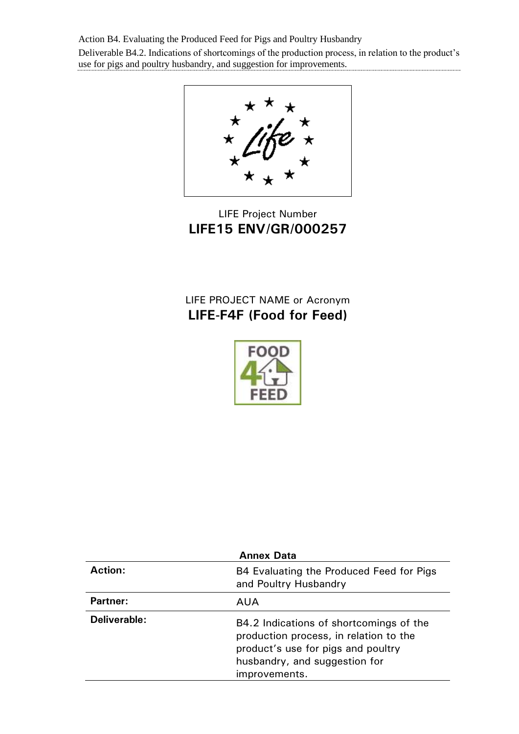Action B4. Evaluating the Produced Feed for Pigs and Poultry Husbandry Deliverable B4.2. Indications of shortcomings of the production process, in relation to the product's use for pigs and poultry husbandry, and suggestion for improvements.



LIFE Project Number **LIFE15 ENV/GR/000257**

# LIFE PROJECT NAME or Acronym **LIFE-F4F (Food for Feed)**



| <b>Annex Data</b> |                                                                                                                                                                           |  |  |  |
|-------------------|---------------------------------------------------------------------------------------------------------------------------------------------------------------------------|--|--|--|
| <b>Action:</b>    | B4 Evaluating the Produced Feed for Pigs<br>and Poultry Husbandry                                                                                                         |  |  |  |
| <b>Partner:</b>   | AUA                                                                                                                                                                       |  |  |  |
| Deliverable:      | B4.2 Indications of shortcomings of the<br>production process, in relation to the<br>product's use for pigs and poultry<br>husbandry, and suggestion for<br>improvements. |  |  |  |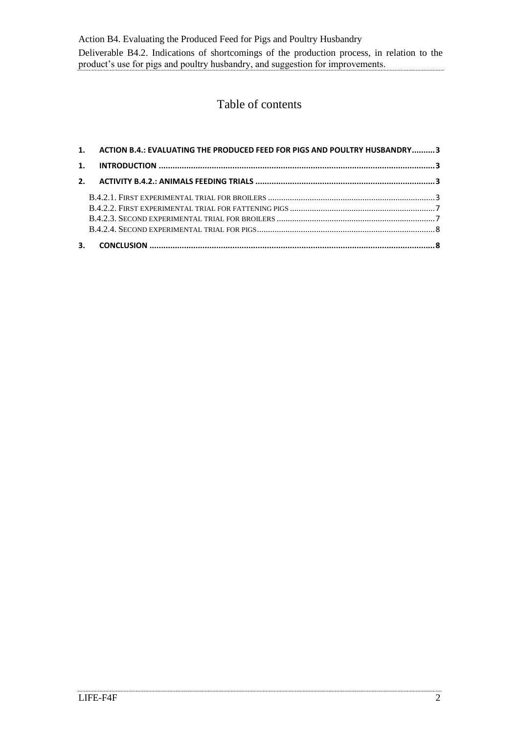Action B4. Evaluating the Produced Feed for Pigs and Poultry Husbandry Deliverable B4.2. Indications of shortcomings of the production process, in relation to the product's use for pigs and poultry husbandry, and suggestion for improvements.

## Table of contents

| 1. ACTION B.4.: EVALUATING THE PRODUCED FEED FOR PIGS AND POULTRY HUSBANDRY 3 |  |
|-------------------------------------------------------------------------------|--|
|                                                                               |  |
|                                                                               |  |
|                                                                               |  |
|                                                                               |  |
|                                                                               |  |
|                                                                               |  |
|                                                                               |  |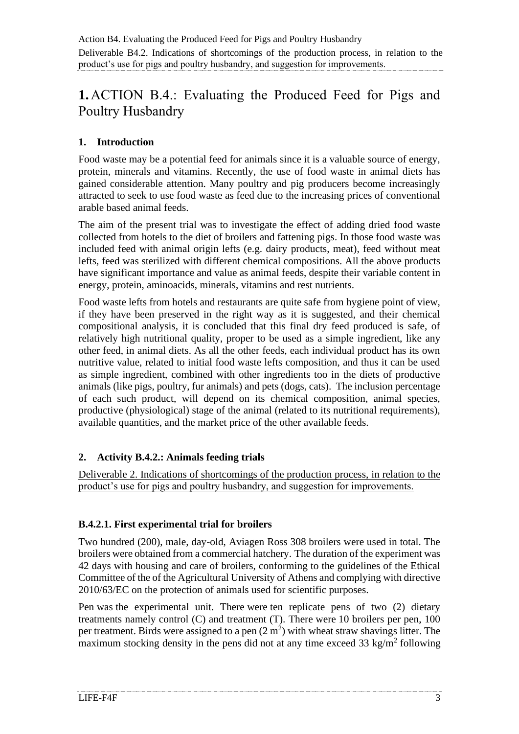# <span id="page-2-0"></span>**1.**ACTION B.4.: Evaluating the Produced Feed for Pigs and Poultry Husbandry

## <span id="page-2-1"></span>**1. Introduction**

Food waste may be a potential feed for animals since it is a valuable source of energy, protein, minerals and vitamins. Recently, the use of food waste in animal diets has gained considerable attention. Many poultry and pig producers become increasingly attracted to seek to use food waste as feed due to the increasing prices of conventional arable based animal feeds.

The aim of the present trial was to investigate the effect of adding dried food waste collected from hotels to the diet of broilers and fattening pigs. In those food waste was included feed with animal origin lefts (e.g. dairy products, meat), feed without meat lefts, feed was sterilized with different chemical compositions. All the above products have significant importance and value as animal feeds, despite their variable content in energy, protein, aminoacids, minerals, vitamins and rest nutrients.

Food waste lefts from hotels and restaurants are quite safe from hygiene point of view, if they have been preserved in the right way as it is suggested, and their chemical compositional analysis, it is concluded that this final dry feed produced is safe, of relatively high nutritional quality, proper to be used as a simple ingredient, like any other feed, in animal diets. As all the other feeds, each individual product has its own nutritive value, related to initial food waste lefts composition, and thus it can be used as simple ingredient, combined with other ingredients too in the diets of productive animals (like pigs, poultry, fur animals) and pets (dogs, cats). The inclusion percentage of each such product, will depend on its chemical composition, animal species, productive (physiological) stage of the animal (related to its nutritional requirements), available quantities, and the market price of the other available feeds.

#### <span id="page-2-2"></span>**2. Activity B.4.2.: Animals feeding trials**

Deliverable 2. Indications of shortcomings of the production process, in relation to the product's use for pigs and poultry husbandry, and suggestion for improvements.

## <span id="page-2-3"></span>**B.4.2.1. First experimental trial for broilers**

Two hundred (200), male, day-old, Aviagen Ross 308 broilers were used in total. The broilers were obtained from a commercial hatchery. The duration of the experiment was 42 days with housing and care of broilers, conforming to the guidelines of the Ethical Committee of the of the Agricultural University of Athens and complying with directive 2010/63/EC on the protection of animals used for scientific purposes.

Pen was the experimental unit. There were ten replicate pens of two (2) dietary treatments namely control (C) and treatment (T). There were 10 broilers per pen, 100 per treatment. Birds were assigned to a pen  $(2 \text{ m}^2)$  with wheat straw shavings litter. The maximum stocking density in the pens did not at any time exceed  $33 \text{ kg/m}^2$  following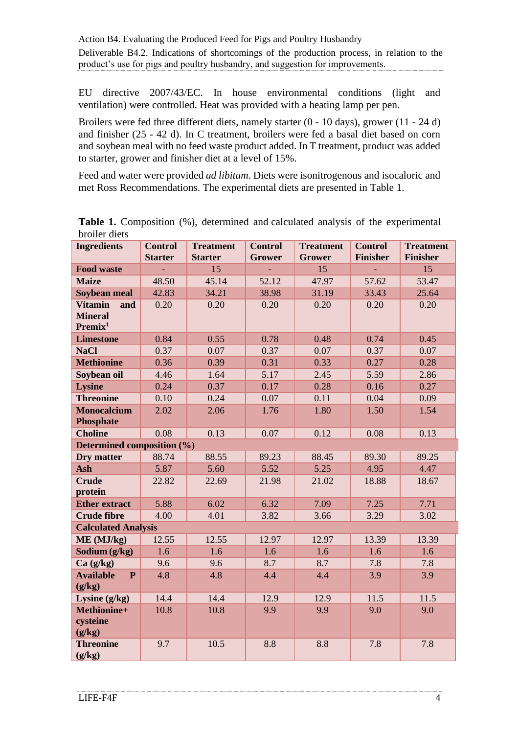EU directive 2007/43/EC. In house environmental conditions (light and ventilation) were controlled. Heat was provided with a heating lamp per pen.

Broilers were fed three different diets, namely starter (0 - 10 days), grower (11 - 24 d) and finisher (25 - 42 d). In C treatment, broilers were fed a basal diet based on corn and soybean meal with no feed waste product added. In T treatment, product was added to starter, grower and finisher diet at a level of 15%.

Feed and water were provided *ad libitum*. Diets were isonitrogenous and isocaloric and met Ross Recommendations. The experimental diets are presented in Table 1.

| <b>Ingredients</b>                                                                                                                                                                                          | <b>Control</b><br><b>Starter</b>                  | <b>Treatment</b><br><b>Starter</b>                 | <b>Control</b><br><b>Grower</b>                  | <b>Treatment</b><br><b>Grower</b>                | <b>Control</b><br><b>Finisher</b>                | <b>Treatment</b><br><b>Finisher</b>              |
|-------------------------------------------------------------------------------------------------------------------------------------------------------------------------------------------------------------|---------------------------------------------------|----------------------------------------------------|--------------------------------------------------|--------------------------------------------------|--------------------------------------------------|--------------------------------------------------|
| <b>Food waste</b>                                                                                                                                                                                           |                                                   | 15                                                 | ÷.                                               | 15                                               |                                                  | 15                                               |
| <b>Maize</b>                                                                                                                                                                                                | 48.50                                             | 45.14                                              | 52.12                                            | 47.97                                            | 57.62                                            | 53.47                                            |
| Soybean meal                                                                                                                                                                                                | 42.83                                             | 34.21                                              | 38.98                                            | 31.19                                            | 33.43                                            | 25.64                                            |
| <b>Vitamin</b><br>and                                                                                                                                                                                       | 0.20                                              | 0.20                                               | 0.20                                             | 0.20                                             | 0.20                                             | 0.20                                             |
| <b>Mineral</b>                                                                                                                                                                                              |                                                   |                                                    |                                                  |                                                  |                                                  |                                                  |
| Premix <sup>1</sup>                                                                                                                                                                                         |                                                   |                                                    |                                                  |                                                  |                                                  |                                                  |
| <b>Limestone</b>                                                                                                                                                                                            | 0.84                                              | 0.55                                               | 0.78                                             | 0.48                                             | 0.74                                             | 0.45                                             |
| <b>NaCl</b>                                                                                                                                                                                                 | 0.37                                              | 0.07                                               | 0.37                                             | 0.07                                             | 0.37                                             | 0.07                                             |
| <b>Methionine</b>                                                                                                                                                                                           | 0.36                                              | 0.39                                               | 0.31                                             | 0.33                                             | 0.27                                             | 0.28                                             |
| Soybean oil                                                                                                                                                                                                 | 4.46                                              | 1.64                                               | 5.17                                             | 2.45                                             | 5.59                                             | 2.86                                             |
| <b>Lysine</b>                                                                                                                                                                                               | 0.24                                              | 0.37                                               | 0.17                                             | 0.28                                             | 0.16                                             | 0.27                                             |
| <b>Threonine</b>                                                                                                                                                                                            | 0.10                                              | 0.24                                               | 0.07                                             | 0.11                                             | 0.04                                             | 0.09                                             |
| <b>Monocalcium</b>                                                                                                                                                                                          | 2.02                                              | 2.06                                               | 1.76                                             | 1.80                                             | 1.50                                             | 1.54                                             |
| <b>Phosphate</b>                                                                                                                                                                                            |                                                   |                                                    |                                                  |                                                  |                                                  |                                                  |
| <b>Choline</b>                                                                                                                                                                                              | 0.08                                              | 0.13                                               | 0.07                                             | 0.12                                             | 0.08                                             | 0.13                                             |
| Determined composition (%)                                                                                                                                                                                  |                                                   |                                                    |                                                  |                                                  |                                                  |                                                  |
| Dry matter                                                                                                                                                                                                  | 88.74                                             | 88.55                                              | 89.23                                            | 88.45                                            | 89.30                                            | 89.25                                            |
| Ash                                                                                                                                                                                                         | 5.87                                              | 5.60                                               | 5.52                                             | 5.25                                             | 4.95                                             | 4.47                                             |
| <b>Crude</b>                                                                                                                                                                                                | 22.82                                             | 22.69                                              | 21.98                                            | 21.02                                            | 18.88                                            | 18.67                                            |
| protein                                                                                                                                                                                                     |                                                   |                                                    |                                                  |                                                  |                                                  |                                                  |
| <b>Ether extract</b>                                                                                                                                                                                        | 5.88                                              | 6.02                                               | 6.32                                             | 7.09                                             | 7.25                                             | 7.71                                             |
| <b>Crude fibre</b>                                                                                                                                                                                          | 4.00                                              | 4.01                                               | 3.82                                             | 3.66                                             | 3.29                                             | 3.02                                             |
|                                                                                                                                                                                                             |                                                   |                                                    |                                                  |                                                  |                                                  |                                                  |
|                                                                                                                                                                                                             |                                                   |                                                    |                                                  |                                                  |                                                  |                                                  |
|                                                                                                                                                                                                             |                                                   |                                                    |                                                  |                                                  |                                                  |                                                  |
|                                                                                                                                                                                                             |                                                   |                                                    |                                                  |                                                  |                                                  |                                                  |
|                                                                                                                                                                                                             |                                                   |                                                    |                                                  |                                                  |                                                  |                                                  |
|                                                                                                                                                                                                             |                                                   |                                                    |                                                  |                                                  |                                                  |                                                  |
|                                                                                                                                                                                                             |                                                   |                                                    |                                                  |                                                  |                                                  |                                                  |
|                                                                                                                                                                                                             |                                                   |                                                    |                                                  |                                                  |                                                  |                                                  |
|                                                                                                                                                                                                             |                                                   |                                                    |                                                  |                                                  |                                                  |                                                  |
|                                                                                                                                                                                                             |                                                   |                                                    |                                                  |                                                  |                                                  |                                                  |
|                                                                                                                                                                                                             |                                                   |                                                    |                                                  |                                                  |                                                  |                                                  |
| <b>Calculated Analysis</b><br>ME (MJ/kg)<br>Sodium $(g/kg)$<br>Ca(g/kg)<br><b>Available</b><br>$\mathbf{P}$<br>(g/kg)<br>Lysine $(g/kg)$<br>Methionine+<br>cysteine<br>(g/kg)<br><b>Threonine</b><br>(g/kg) | 12.55<br>1.6<br>9.6<br>4.8<br>14.4<br>10.8<br>9.7 | 12.55<br>1.6<br>9.6<br>4.8<br>14.4<br>10.8<br>10.5 | 12.97<br>1.6<br>8.7<br>4.4<br>12.9<br>9.9<br>8.8 | 12.97<br>1.6<br>8.7<br>4.4<br>12.9<br>9.9<br>8.8 | 13.39<br>1.6<br>7.8<br>3.9<br>11.5<br>9.0<br>7.8 | 13.39<br>1.6<br>7.8<br>3.9<br>11.5<br>9.0<br>7.8 |

**Table 1.** Composition (%), determined and calculated analysis of the experimental broiler diets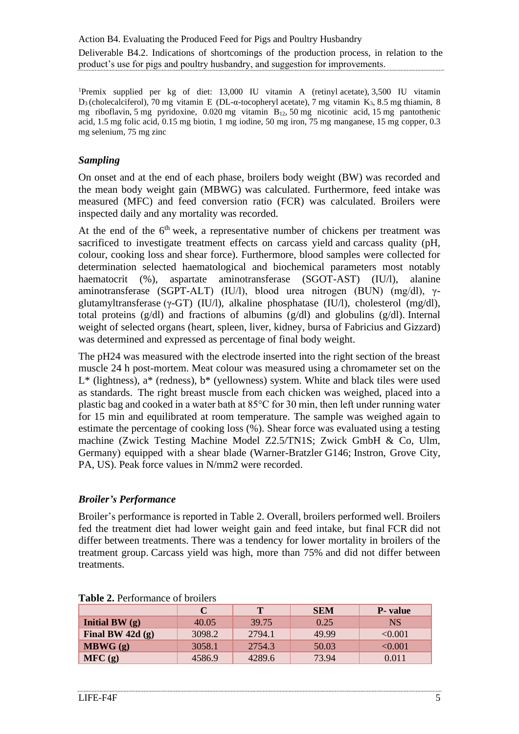<sup>1</sup>Premix supplied per kg of diet: 13,000 IU vitamin A (retinyl acetate), 3,500 IU vitamin D<sub>3</sub> (cholecalciferol), 70 mg vitamin E (DL-α-tocopheryl acetate), 7 mg vitamin K<sub>3</sub>, 8.5 mg thiamin, 8 mg riboflavin, 5 mg pyridoxine,  $0.020$  mg vitamin  $B_{12}$ , 50 mg nicotinic acid, 15 mg pantothenic acid, 1.5 mg folic acid, 0.15 mg biotin, 1 mg iodine, 50 mg iron, 75 mg manganese, 15 mg copper, 0.3 mg selenium, 75 mg zinc

#### *Sampling*

On onset and at the end of each phase, broilers body weight (BW) was recorded and the mean body weight gain (MBWG) was calculated. Furthermore, feed intake was measured (MFC) and feed conversion ratio (FCR) was calculated. Broilers were inspected daily and any mortality was recorded.

At the end of the  $6<sup>th</sup>$  week, a representative number of chickens per treatment was sacrificed to investigate treatment effects on carcass yield and carcass quality (pH, colour, cooking loss and shear force). Furthermore, blood samples were collected for determination selected haematological and biochemical parameters most notably haematocrit (%), aspartate aminotransferase (SGOT-AST) (IU/l), alanine aminotransferase (SGPT-ALT) (IU/l), blood urea nitrogen (BUN) (mg/dl), γglutamyltransferase (γ-GT) (IU/l), alkaline phosphatase (IU/l), cholesterol (mg/dl), total proteins (g/dl) and fractions of albumins (g/dl) and globulins (g/dl). Internal weight of selected organs (heart, spleen, liver, kidney, bursa of Fabricius and Gizzard) was determined and expressed as percentage of final body weight.

The pH24 was measured with the electrode inserted into the right section of the breast muscle 24 h post-mortem. Meat colour was measured using a chromameter set on the  $L^*$  (lightness),  $a^*$  (redness),  $b^*$  (yellowness) system. White and black tiles were used as standards. The right breast muscle from each chicken was weighed, placed into a plastic bag and cooked in a water bath at 85°C for 30 min, then left under running water for 15 min and equilibrated at room temperature. The sample was weighed again to estimate the percentage of cooking loss (%). Shear force was evaluated using a testing machine (Zwick Testing Machine Model Z2.5/TN1S; Zwick GmbH & Co, Ulm, Germany) equipped with a shear blade (Warner-Bratzler G146; Instron, Grove City, PA, US). Peak force values in N/mm2 were recorded.

#### *Broiler's Performance*

Broiler's performance is reported in Table 2. Overall, broilers performed well. Broilers fed the treatment diet had lower weight gain and feed intake, but final FCR did not differ between treatments. There was a tendency for lower mortality in broilers of the treatment group. Carcass yield was high, more than 75% and did not differ between treatments.

|                   | C      | T      | <b>SEM</b> | <b>P</b> - value |
|-------------------|--------|--------|------------|------------------|
| Initial BW $(q)$  | 40.05  | 39.75  | 0.25       | NS.              |
| Final BW $42d(g)$ | 3098.2 | 2794.1 | 49.99      | < 0.001          |
| MBWG(g)           | 3058.1 | 2754.3 | 50.03      | < 0.001          |
| MFC(g)            | 4586.9 | 4289.6 | 73.94      | 0.011            |

| <b>Table 2.</b> Performance of broilers |  |
|-----------------------------------------|--|
|                                         |  |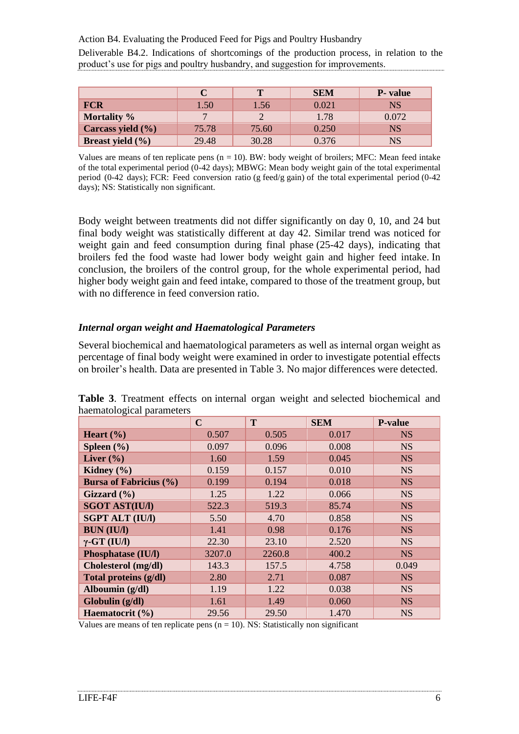Action B4. Evaluating the Produced Feed for Pigs and Poultry Husbandry

Deliverable B4.2. Indications of shortcomings of the production process, in relation to the product's use for pigs and poultry husbandry, and suggestion for improvements.

|                      | C        | $\mathbf{T}$ | <b>SEM</b> | <b>P</b> - value |
|----------------------|----------|--------------|------------|------------------|
| <b>FCR</b>           | $1.50\,$ | 1.56         | 0.021      | <b>NS</b>        |
| Mortality %          | 7        | ⌒            | 1.78       | 0.072            |
| Carcass yield (%)    | 75.78    | 75.60        | 0.250      | <b>NS</b>        |
| Breast yield $(\% )$ | 29.48    | 30.28        | 0.376      | NS               |

Values are means of ten replicate pens  $(n = 10)$ . BW: body weight of broilers; MFC: Mean feed intake of the total experimental period (0-42 days); MBWG: Mean body weight gain of the total experimental period (0-42 days); FCR: Feed conversion ratio (g feed/g gain) of the total experimental period (0-42 days); NS: Statistically non significant.

Body weight between treatments did not differ significantly on day 0, 10, and 24 but final body weight was statistically different at day 42. Similar trend was noticed for weight gain and feed consumption during final phase (25-42 days), indicating that broilers fed the food waste had lower body weight gain and higher feed intake. In conclusion, the broilers of the control group, for the whole experimental period, had higher body weight gain and feed intake, compared to those of the treatment group, but with no difference in feed conversion ratio.

#### *Internal organ weight and Haematological Parameters*

Several biochemical and haematological parameters as well as internal organ weight as percentage of final body weight were examined in order to investigate potential effects on broiler's health. Data are presented in Table 3. No major differences were detected.

|                               | $\mathbf C$ | T      | <b>SEM</b> | <b>P-value</b> |
|-------------------------------|-------------|--------|------------|----------------|
| Heart $(\% )$                 | 0.507       | 0.505  | 0.017      | <b>NS</b>      |
| Spleen $(\% )$                | 0.097       | 0.096  | 0.008      | <b>NS</b>      |
| Liver $(\% )$                 | 1.60        | 1.59   | 0.045      | <b>NS</b>      |
| Kidney $(\% )$                | 0.159       | 0.157  | 0.010      | <b>NS</b>      |
| <b>Bursa of Fabricius (%)</b> | 0.199       | 0.194  | 0.018      | <b>NS</b>      |
| Gizzard $(\%)$                | 1.25        | 1.22   | 0.066      | <b>NS</b>      |
| <b>SGOT AST(IU/I)</b>         | 522.3       | 519.3  | 85.74      | <b>NS</b>      |
| <b>SGPT ALT (IU/I)</b>        | 5.50        | 4.70   | 0.858      | <b>NS</b>      |
| <b>BUN (IU/I)</b>             | 1.41        | 0.98   | 0.176      | <b>NS</b>      |
| $\gamma$ -GT (IU/I)           | 22.30       | 23.10  | 2.520      | <b>NS</b>      |
| <b>Phosphatase (IU/I)</b>     | 3207.0      | 2260.8 | 400.2      | <b>NS</b>      |
| Cholesterol (mg/dl)           | 143.3       | 157.5  | 4.758      | 0.049          |
| Total proteins (g/dl)         | 2.80        | 2.71   | 0.087      | <b>NS</b>      |
| Alboumin (g/dl)               | 1.19        | 1.22   | 0.038      | <b>NS</b>      |
| Globulin (g/dl)               | 1.61        | 1.49   | 0.060      | <b>NS</b>      |
| Haematocrit (%)               | 29.56       | 29.50  | 1.470      | <b>NS</b>      |

**Table 3**. Treatment effects on internal organ weight and selected biochemical and haematological parameters

Values are means of ten replicate pens  $(n = 10)$ . NS: Statistically non significant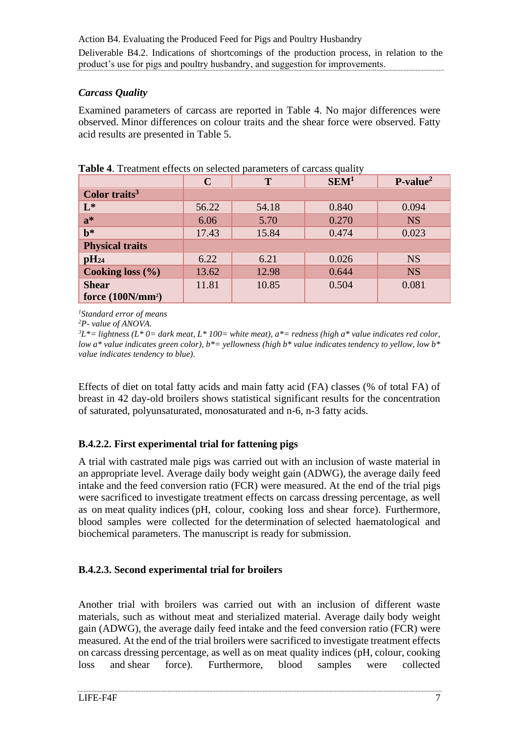### *Carcass Quality*

Examined parameters of carcass are reported in Table 4. No major differences were observed. Minor differences on colour traits and the shear force were observed. Fatty acid results are presented in Table 5.

|                           | $\mathbf C$ | Т     | SEM <sup>1</sup> | $P-value2$ |
|---------------------------|-------------|-------|------------------|------------|
| Color traits <sup>3</sup> |             |       |                  |            |
| $L^*$                     | 56.22       | 54.18 | 0.840            | 0.094      |
| $a^*$                     | 6.06        | 5.70  | 0.270            | <b>NS</b>  |
| $\mathbf{b}^*$            | 17.43       | 15.84 | 0.474            | 0.023      |
| <b>Physical traits</b>    |             |       |                  |            |
| $\mathbf{p}H_{24}$        | 6.22        | 6.21  | 0.026            | <b>NS</b>  |
| Cooking loss (%)          | 13.62       | 12.98 | 0.644            | <b>NS</b>  |
| <b>Shear</b>              | 11.81       | 10.85 | 0.504            | 0.081      |
| force $(100N/mm^2)$       |             |       |                  |            |

**Table 4**. Treatment effects on selected parameters of carcass quality

*<sup>1</sup>Standard error of means*

*<sup>2</sup>P- value of ANOVA.*

*<sup>3</sup>L\*= lightness (L\* 0= dark meat, L\* 100= white meat), a\*= redness (high a\* value indicates red color, low a\* value indicates green color), b\*= yellowness (high b\* value indicates tendency to yellow, low b\* value indicates tendency to blue).*

Effects of diet on total fatty acids and main fatty acid (FA) classes (% of total FA) of breast in 42 day-old broilers shows statistical significant results for the concentration of saturated, polyunsaturated, monosaturated and n-6, n-3 fatty acids.

## <span id="page-6-0"></span>**B.4.2.2. First experimental trial for fattening pigs**

A trial with castrated male pigs was carried out with an inclusion of waste material in an appropriate level. Average daily body weight gain (ADWG), the average daily feed intake and the feed conversion ratio (FCR) were measured. At the end of the trial pigs were sacrificed to investigate treatment effects on carcass dressing percentage, as well as on meat quality indices (pH, colour, cooking loss and shear force). Furthermore, blood samples were collected for the determination of selected haematological and biochemical parameters. The manuscript is ready for submission.

## <span id="page-6-1"></span>**B.4.2.3. Second experimental trial for broilers**

Another trial with broilers was carried out with an inclusion of different waste materials, such as without meat and sterialized material. Average daily body weight gain (ADWG), the average daily feed intake and the feed conversion ratio (FCR) were measured. At the end of the trial broilers were sacrificed to investigate treatment effects on carcass dressing percentage, as well as on meat quality indices (pH, colour, cooking loss and shear force). Furthermore, blood samples were collected